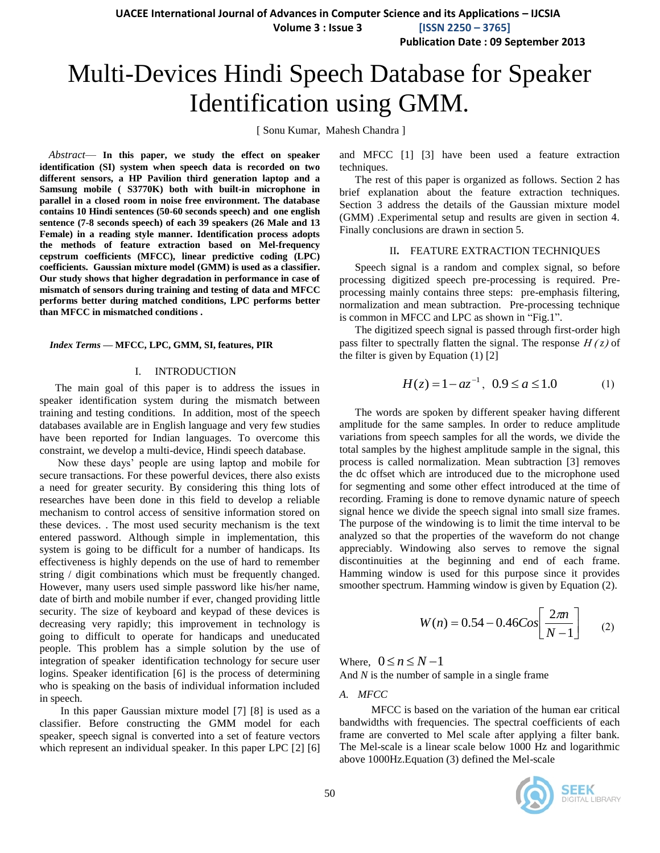**Volume 3 : Issue 3 [ISSN 2250 – 3765]**

**Publication Date : 09 September 2013**

# Multi-Devices Hindi Speech Database for Speaker Identification using GMM.

[ Sonu Kumar, Mahesh Chandra ]

*Abstract*— **In this paper, we study the effect on speaker identification (SI) system when speech data is recorded on two different sensors, a HP Pavilion third generation laptop and a Samsung mobile ( S3770K) both with built-in microphone in parallel in a closed room in noise free environment. The database contains 10 Hindi sentences (50-60 seconds speech) and one english sentence (7-8 seconds speech) of each 39 speakers (26 Male and 13 Female) in a reading style manner. Identification process adopts the methods of feature extraction based on Mel-frequency cepstrum coefficients (MFCC), linear predictive coding (LPC) coefficients. Gaussian mixture model (GMM) is used as a classifier. Our study shows that higher degradation in performance in case of mismatch of sensors during training and testing of data and MFCC performs better during matched conditions, LPC performs better than MFCC in mismatched conditions .**

#### *Index Terms —* **MFCC, LPC, GMM, SI, features, PIR**

#### I. INTRODUCTION

The main goal of this paper is to address the issues in speaker identification system during the mismatch between training and testing conditions. In addition, most of the speech databases available are in English language and very few studies have been reported for Indian languages. To overcome this constraint, we develop a multi-device, Hindi speech database.

Now these days' people are using laptop and mobile for secure transactions. For these powerful devices, there also exists a need for greater security. By considering this thing lots of researches have been done in this field to develop a reliable mechanism to control access of sensitive information stored on these devices. . The most used security mechanism is the text entered password. Although simple in implementation, this system is going to be difficult for a number of handicaps. Its effectiveness is highly depends on the use of hard to remember string / digit combinations which must be frequently changed. However, many users used simple password like his/her name, date of birth and mobile number if ever, changed providing little security. The size of keyboard and keypad of these devices is decreasing very rapidly; this improvement in technology is going to difficult to operate for handicaps and uneducated people. This problem has a simple solution by the use of integration of speaker identification technology for secure user logins. Speaker identification [6] is the process of determining who is speaking on the basis of individual information included in speech.

In this paper Gaussian mixture model [7] [8] is used as a classifier. Before constructing the GMM model for each speaker, speech signal is converted into a set of feature vectors which represent an individual speaker. In this paper LPC [2] [6] and MFCC [1] [3] have been used a feature extraction techniques.

The rest of this paper is organized as follows. Section 2 has brief explanation about the feature extraction techniques. Section 3 address the details of the Gaussian mixture model (GMM) .Experimental setup and results are given in section 4. Finally conclusions are drawn in section 5.

#### II**.** FEATURE EXTRACTION TECHNIQUES

Speech signal is a random and complex signal, so before processing digitized speech pre-processing is required. Preprocessing mainly contains three steps: pre-emphasis filtering, normalization and mean subtraction. Pre-processing technique is common in MFCC and LPC as shown in "Fig.1".

The digitized speech signal is passed through first-order high pass filter to spectrally flatten the signal. The response  $H(z)$  of the filter is given by Equation (1) [2]

$$
H(z) = 1 - az^{-1}, \ 0.9 \le a \le 1.0 \tag{1}
$$

The words are spoken by different speaker having different amplitude for the same samples. In order to reduce amplitude variations from speech samples for all the words, we divide the total samples by the highest amplitude sample in the signal, this process is called normalization. Mean subtraction [3] removes the dc offset which are introduced due to the microphone used for segmenting and some other effect introduced at the time of recording. Framing is done to remove dynamic nature of speech signal hence we divide the speech signal into small size frames. The purpose of the windowing is to limit the time interval to be analyzed so that the properties of the waveform do not change appreciably. Windowing also serves to remove the signal discontinuities at the beginning and end of each frame. Hamming window is used for this purpose since it provides smoother spectrum. Hamming window is given by Equation (2).

$$
W(n) = 0.54 - 0.46 \text{Cos} \left[ \frac{2\pi n}{N - 1} \right] \tag{2}
$$

Where,  $0 \le n \le N-1$ And *N* is the number of sample in a single frame

#### *A. MFCC*

 MFCC is based on the variation of the human ear critical bandwidths with frequencies. The spectral coefficients of each frame are converted to Mel scale after applying a filter bank. The Mel-scale is a linear scale below 1000 Hz and logarithmic above 1000Hz.Equation (3) defined the Mel-scale

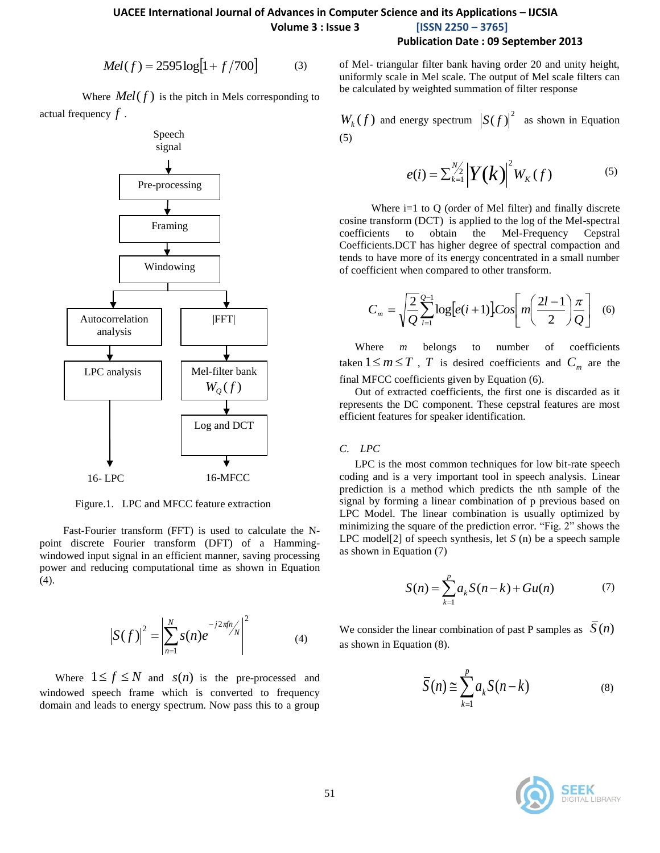## **UACEE International Journal of Advances in Computer Science and its Applications – IJCSIA Volume 3 : Issue 3 [ISSN 2250 – 3765]**

#### **Publication Date : 09 September 2013**

$$
Mel(f) = 2595 \log[1 + f/700]
$$
 (3)

Where  $Mel(f)$  is the pitch in Mels corresponding to actual frequency *f* .



Figure.1. LPC and MFCC feature extraction

 Fast-Fourier transform (FFT) is used to calculate the Npoint discrete Fourier transform (DFT) of a Hammingwindowed input signal in an efficient manner, saving processing power and reducing computational time as shown in Equation (4).

$$
|S(f)|^2 = \left| \sum_{n=1}^{N} s(n) e^{-j2\pi f n} / N \right|^2 \tag{4}
$$

Where  $1 \le f \le N$  and  $s(n)$  is the pre-processed and windowed speech frame which is converted to frequency domain and leads to energy spectrum. Now pass this to a group

of Mel- triangular filter bank having order 20 and unity height, uniformly scale in Mel scale. The output of Mel scale filters can be calculated by weighted summation of filter response

 $W_k(f)$  and energy spectrum  $|S(f)|^2$  as shown in Equation (5)

$$
e(i) = \sum_{k=1}^{N/2} \left| Y(k) \right|^2 W_K(f) \tag{5}
$$

Where i=1 to Q (order of Mel filter) and finally discrete cosine transform (DCT) is applied to the log of the Mel-spectral coefficients to obtain the Mel-Frequency Cepstral Coefficients.DCT has higher degree of spectral compaction and tends to have more of its energy concentrated in a small number of coefficient when compared to other transform.

$$
C_m = \sqrt{\frac{2}{Q}} \sum_{l=1}^{Q-1} \log \left[ e(i+1) \right] \cdot \cos \left[ m \left( \frac{2l-1}{2} \right) \frac{\pi}{Q} \right] \tag{6}
$$

Where *m* belongs to number of coefficients taken  $1 \le m \le T$ , *T* is desired coefficients and  $C_m$  are the final MFCC coefficients given by Equation (6).

Out of extracted coefficients, the first one is discarded as it represents the DC component. These cepstral features are most efficient features for speaker identification.

#### *C*. *LPC*

LPC is the most common techniques for low bit-rate speech coding and is a very important tool in speech analysis. Linear prediction is a method which predicts the nth sample of the signal by forming a linear combination of p previous based on LPC Model. The linear combination is usually optimized by minimizing the square of the prediction error. "Fig. 2" shows the LPC model[2] of speech synthesis, let *S* (n) be a speech sample as shown in Equation (7)

$$
S(n) = \sum_{k=1}^{p} a_k S(n-k) + Gu(n)
$$
 (7)

We consider the linear combination of past P samples as  $S(n)$ as shown in Equation (8).

$$
\overline{S}(n) \cong \sum_{k=1}^{p} a_k S(n-k)
$$
 (8)

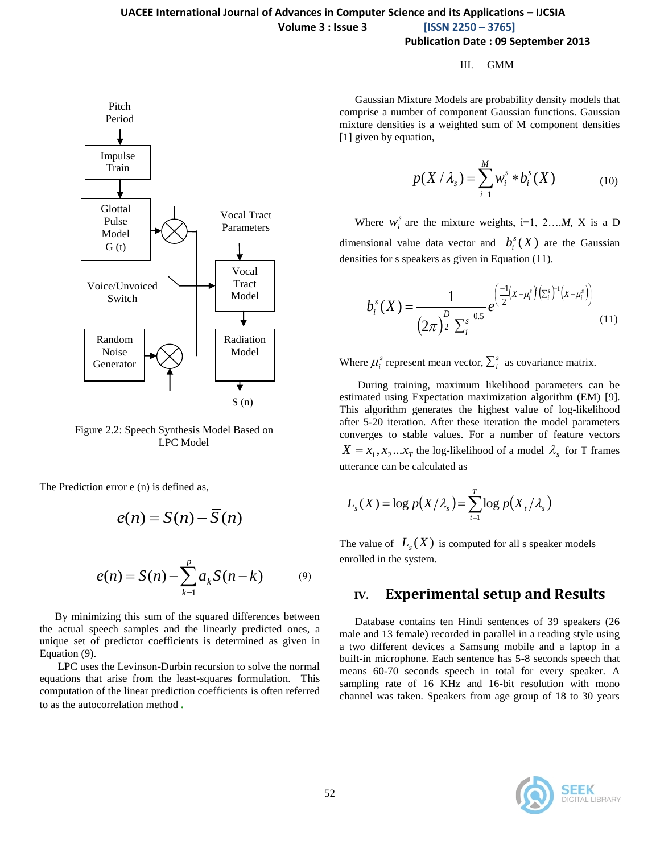#### III. GMM

Gaussian Mixture Models are probability density models that comprise a number of component Gaussian functions. Gaussian mixture densities is a weighted sum of M component densities [1] given by equation,

$$
p(X / \lambda_s) = \sum_{i=1}^{M} w_i^s * b_i^s(X)
$$
 (10)

Where  $w_i^s$  are the mixture weights, i=1, 2...*M*, X is a D dimensional value data vector and  $b_i^s(X)$  $\int_i^s$  $(X)$  are the Gaussian densities for s speakers as given in Equation (11).

$$
b_i^s(X) = \frac{1}{(2\pi)^{\frac{D}{2}} \left| \sum_i^s \right|^{0.5}} e^{\left( \frac{-1}{2} (X - \mu_i^s) \left( \sum_i^s \right)^{-1} (X - \mu_i^s) \right)}
$$
(11)

Where  $\mu_i^s$  represent mean vector,  $\sum_i^s$  as covariance matrix.

During training, maximum likelihood parameters can be estimated using Expectation maximization algorithm (EM) [9]. This algorithm generates the highest value of log-likelihood after 5-20 iteration. After these iteration the model parameters converges to stable values. For a number of feature vectors  $X = x_1, x_2...x_T$  the log-likelihood of a model  $\lambda_s$  for T frames utterance can be calculated as

$$
L_{s}(X) = \log p(X/\lambda_{s}) = \sum_{t=1}^{T} \log p(X_{t}/\lambda_{s})
$$

The value of  $L_s(X)$  is computed for all s speaker models enrolled in the system.

### **IV. Experimental setup and Results**

Database contains ten Hindi sentences of 39 speakers (26 male and 13 female) recorded in parallel in a reading style using a two different devices a Samsung mobile and a laptop in a built-in microphone. Each sentence has 5-8 seconds speech that means 60-70 seconds speech in total for every speaker. A sampling rate of 16 KHz and 16-bit resolution with mono channel was taken. Speakers from age group of 18 to 30 years





 LPC Model Figure 2.2: Speech Synthesis Model Based on

The Prediction error e (n) is defined as,

$$
e(n) = S(n) - \overline{S}(n)
$$

$$
e(n) = S(n) - \sum_{k=1}^{p} a_k S(n-k)
$$
 (9)

By minimizing this sum of the squared differences between the actual speech samples and the linearly predicted ones, a unique set of predictor coefficients is determined as given in Equation (9).

LPC uses the Levinson-Durbin recursion to solve the normal equations that arise from the least-squares formulation. This computation of the linear prediction coefficients is often referred to as the autocorrelation method.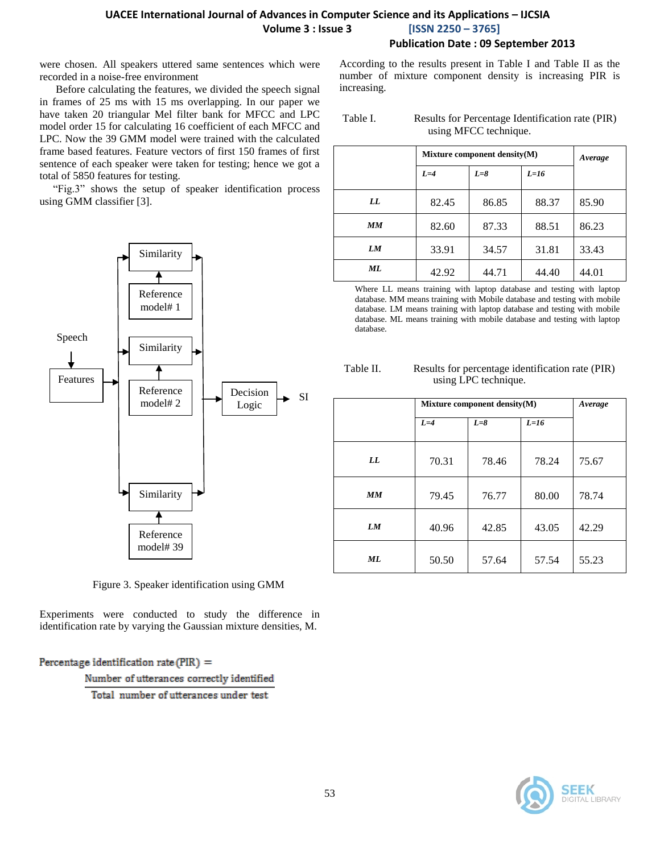## **UACEE International Journal of Advances in Computer Science and its Applications – IJCSIA Volume 3 : Issue 3 [ISSN 2250 – 3765]**

**Publication Date : 09 September 2013**

were chosen. All speakers uttered same sentences which were recorded in a noise-free environment

 Before calculating the features, we divided the speech signal in frames of 25 ms with 15 ms overlapping. In our paper we have taken 20 triangular Mel filter bank for MFCC and LPC model order 15 for calculating 16 coefficient of each MFCC and LPC. Now the 39 GMM model were trained with the calculated frame based features. Feature vectors of first 150 frames of first sentence of each speaker were taken for testing; hence we got a total of 5850 features for testing.

"Fig.3" shows the setup of speaker identification process using GMM classifier [3].



Figure 3. Speaker identification using GMM

Experiments were conducted to study the difference in identification rate by varying the Gaussian mixture densities, M.

Percentage identification rate (PIR) =

Number of utterances correctly identified

Total number of utterances under test

According to the results present in Table I and Table II as the number of mixture component density is increasing PIR is increasing.

Table I. Results for Percentage Identification rate (PIR) using MFCC technique.

|    | Mixture component density $(M)$ | Average |        |       |
|----|---------------------------------|---------|--------|-------|
|    | $L=4$                           | $L=8$   | $L=16$ |       |
| LL | 82.45                           | 86.85   | 88.37  | 85.90 |
| MМ | 82.60                           | 87.33   | 88.51  | 86.23 |
| LМ | 33.91                           | 34.57   | 31.81  | 33.43 |
| ML | 42.92                           | 44.71   | 44.40  | 44.01 |

Where LL means training with laptop database and testing with laptop database. MM means training with Mobile database and testing with mobile database. LM means training with laptop database and testing with mobile database. ML means training with mobile database and testing with laptop database.

| Table II. | Results for percentage identification rate (PIR) |
|-----------|--------------------------------------------------|
|           | using LPC technique.                             |

|    | Mixture component density(M) | Average |        |       |
|----|------------------------------|---------|--------|-------|
|    | $L=4$                        | $L=8$   | $L=16$ |       |
| LL | 70.31                        | 78.46   | 78.24  | 75.67 |
| MM | 79.45                        | 76.77   | 80.00  | 78.74 |
| LM | 40.96                        | 42.85   | 43.05  | 42.29 |
| ML | 50.50                        | 57.64   | 57.54  | 55.23 |